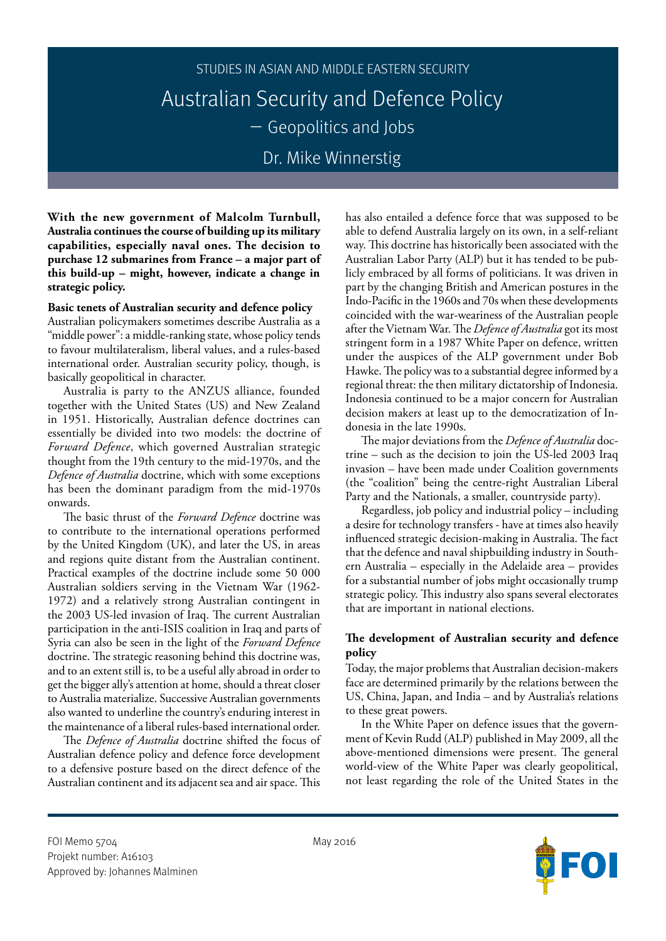# STUDIES IN ASIAN AND MIDDLE EASTERN SECURITY Australian Security and Defence Policy – Geopolitics and Jobs Dr. Mike Winnerstig

**With the new government of Malcolm Turnbull, Australia continues the course of building up its military capabilities, especially naval ones. The decision to purchase 12 submarines from France – a major part of this build-up – might, however, indicate a change in strategic policy.**

## **Basic tenets of Australian security and defence policy**

Australian policymakers sometimes describe Australia as a "middle power": a middle-ranking state, whose policy tends to favour multilateralism, liberal values, and a rules-based international order. Australian security policy, though, is basically geopolitical in character.

Australia is party to the ANZUS alliance, founded together with the United States (US) and New Zealand in 1951. Historically, Australian defence doctrines can essentially be divided into two models: the doctrine of *Forward Defence*, which governed Australian strategic thought from the 19th century to the mid-1970s, and the *Defence of Australia* doctrine, which with some exceptions has been the dominant paradigm from the mid-1970s onwards.

The basic thrust of the *Forward Defence* doctrine was to contribute to the international operations performed by the United Kingdom (UK), and later the US, in areas and regions quite distant from the Australian continent. Practical examples of the doctrine include some 50 000 Australian soldiers serving in the Vietnam War (1962- 1972) and a relatively strong Australian contingent in the 2003 US-led invasion of Iraq. The current Australian participation in the anti-ISIS coalition in Iraq and parts of Syria can also be seen in the light of the *Forward Defence* doctrine. The strategic reasoning behind this doctrine was, and to an extent still is, to be a useful ally abroad in order to get the bigger ally's attention at home, should a threat closer to Australia materialize. Successive Australian governments also wanted to underline the country's enduring interest in the maintenance of a liberal rules-based international order.

The *Defence of Australia* doctrine shifted the focus of Australian defence policy and defence force development to a defensive posture based on the direct defence of the Australian continent and its adjacent sea and air space. This

has also entailed a defence force that was supposed to be able to defend Australia largely on its own, in a self-reliant way. This doctrine has historically been associated with the Australian Labor Party (ALP) but it has tended to be publicly embraced by all forms of politicians. It was driven in part by the changing British and American postures in the Indo-Pacific in the 1960s and 70s when these developments coincided with the war-weariness of the Australian people after the Vietnam War. The *Defence of Australia* got its most stringent form in a 1987 White Paper on defence, written under the auspices of the ALP government under Bob Hawke. The policy was to a substantial degree informed by a regional threat: the then military dictatorship of Indonesia. Indonesia continued to be a major concern for Australian decision makers at least up to the democratization of Indonesia in the late 1990s.

The major deviations from the *Defence of Australia* doctrine – such as the decision to join the US-led 2003 Iraq invasion – have been made under Coalition governments (the "coalition" being the centre-right Australian Liberal Party and the Nationals, a smaller, countryside party).

Regardless, job policy and industrial policy – including a desire for technology transfers - have at times also heavily influenced strategic decision-making in Australia. The fact that the defence and naval shipbuilding industry in Southern Australia – especially in the Adelaide area – provides for a substantial number of jobs might occasionally trump strategic policy. This industry also spans several electorates that are important in national elections.

# **The development of Australian security and defence policy**

Today, the major problems that Australian decision-makers face are determined primarily by the relations between the US, China, Japan, and India – and by Australia's relations to these great powers.

In the White Paper on defence issues that the government of Kevin Rudd (ALP) published in May 2009, all the above-mentioned dimensions were present. The general world-view of the White Paper was clearly geopolitical, not least regarding the role of the United States in the

FOI Memo 5704 May 2016 Projekt number: A16103 Approved by: Johannes Malminen

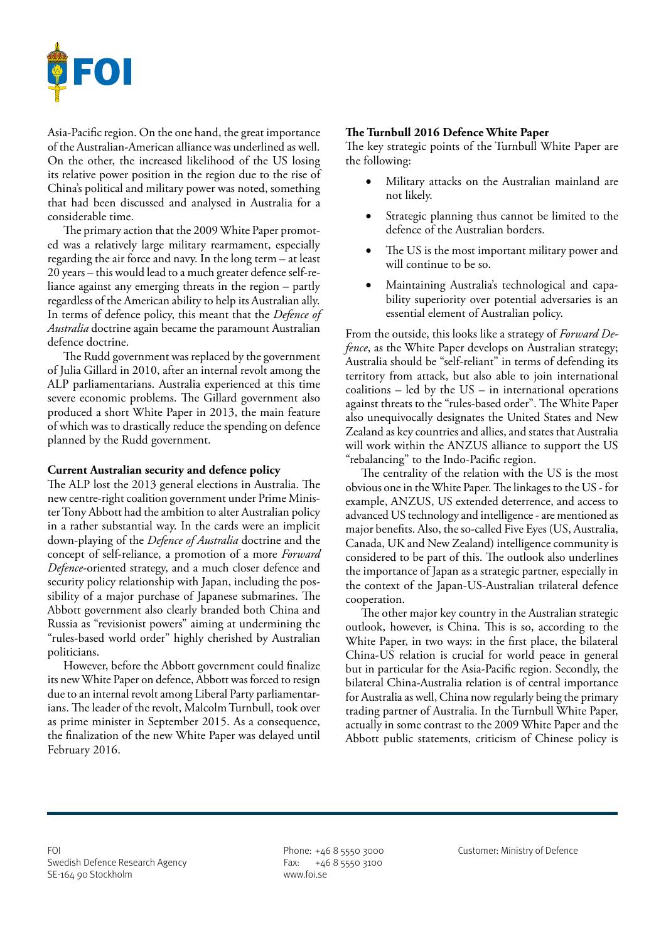

Asia-Pacific region. On the one hand, the great importance of the Australian-American alliance was underlined as well. On the other, the increased likelihood of the US losing its relative power position in the region due to the rise of China's political and military power was noted, something that had been discussed and analysed in Australia for a considerable time.

The primary action that the 2009 White Paper promoted was a relatively large military rearmament, especially regarding the air force and navy. In the long term – at least 20 years – this would lead to a much greater defence self-reliance against any emerging threats in the region – partly regardless of the American ability to help its Australian ally. In terms of defence policy, this meant that the *Defence of Australia* doctrine again became the paramount Australian defence doctrine.

The Rudd government was replaced by the government of Julia Gillard in 2010, after an internal revolt among the ALP parliamentarians. Australia experienced at this time severe economic problems. The Gillard government also produced a short White Paper in 2013, the main feature of which was to drastically reduce the spending on defence planned by the Rudd government.

## **Current Australian security and defence policy**

The ALP lost the 2013 general elections in Australia. The new centre-right coalition government under Prime Minister Tony Abbott had the ambition to alter Australian policy in a rather substantial way. In the cards were an implicit down-playing of the *Defence of Australia* doctrine and the concept of self-reliance, a promotion of a more *Forward Defence*-oriented strategy, and a much closer defence and security policy relationship with Japan, including the possibility of a major purchase of Japanese submarines. The Abbott government also clearly branded both China and Russia as "revisionist powers" aiming at undermining the "rules-based world order" highly cherished by Australian politicians.

However, before the Abbott government could finalize its new White Paper on defence, Abbott was forced to resign due to an internal revolt among Liberal Party parliamentarians. The leader of the revolt, Malcolm Turnbull, took over as prime minister in September 2015. As a consequence, the finalization of the new White Paper was delayed until February 2016.

#### **The Turnbull 2016 Defence White Paper**

The key strategic points of the Turnbull White Paper are the following:

- Military attacks on the Australian mainland are not likely.
- • Strategic planning thus cannot be limited to the defence of the Australian borders.
- The US is the most important military power and will continue to be so.
- Maintaining Australia's technological and capability superiority over potential adversaries is an essential element of Australian policy.

From the outside, this looks like a strategy of *Forward Defence*, as the White Paper develops on Australian strategy; Australia should be "self-reliant" in terms of defending its territory from attack, but also able to join international coalitions – led by the US – in international operations against threats to the "rules-based order". The White Paper also unequivocally designates the United States and New Zealand as key countries and allies, and states that Australia will work within the ANZUS alliance to support the US "rebalancing" to the Indo-Pacific region.

The centrality of the relation with the US is the most obvious one in the White Paper. The linkages to the US - for example, ANZUS, US extended deterrence, and access to advanced US technology and intelligence - are mentioned as major benefits. Also, the so-called Five Eyes (US, Australia, Canada, UK and New Zealand) intelligence community is considered to be part of this. The outlook also underlines the importance of Japan as a strategic partner, especially in the context of the Japan-US-Australian trilateral defence cooperation.

The other major key country in the Australian strategic outlook, however, is China. This is so, according to the White Paper, in two ways: in the first place, the bilateral China-US relation is crucial for world peace in general but in particular for the Asia-Pacific region. Secondly, the bilateral China-Australia relation is of central importance for Australia as well, China now regularly being the primary trading partner of Australia. In the Turnbull White Paper, actually in some contrast to the 2009 White Paper and the Abbott public statements, criticism of Chinese policy is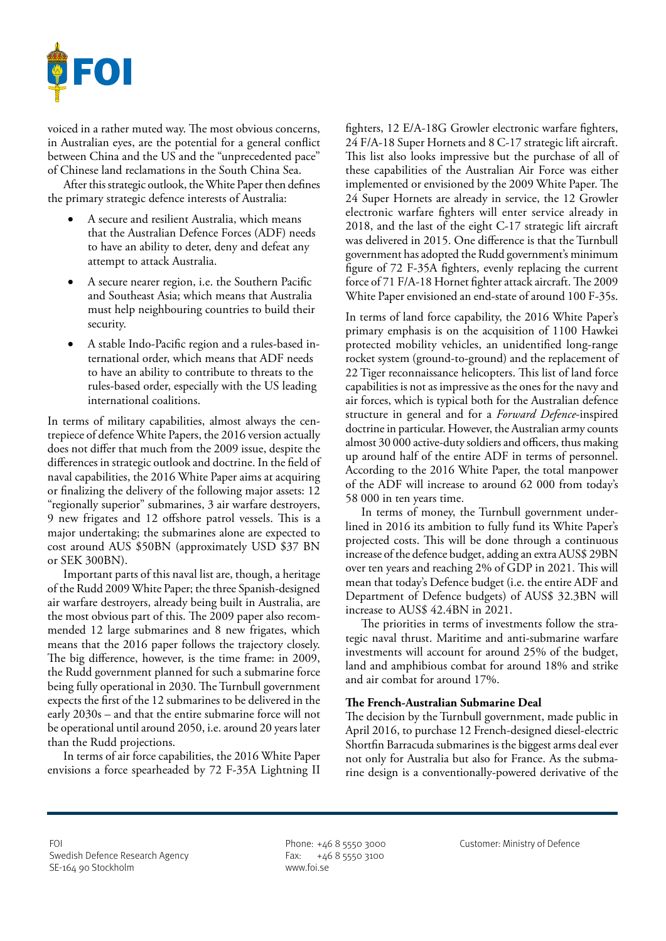

voiced in a rather muted way. The most obvious concerns, in Australian eyes, are the potential for a general conflict between China and the US and the "unprecedented pace" of Chinese land reclamations in the South China Sea.

After this strategic outlook, the White Paper then defines the primary strategic defence interests of Australia:

- A secure and resilient Australia, which means that the Australian Defence Forces (ADF) needs to have an ability to deter, deny and defeat any attempt to attack Australia.
- A secure nearer region, i.e. the Southern Pacific and Southeast Asia; which means that Australia must help neighbouring countries to build their security.
- A stable Indo-Pacific region and a rules-based international order, which means that ADF needs to have an ability to contribute to threats to the rules-based order, especially with the US leading international coalitions.

In terms of military capabilities, almost always the centrepiece of defence White Papers, the 2016 version actually does not differ that much from the 2009 issue, despite the differences in strategic outlook and doctrine. In the field of naval capabilities, the 2016 White Paper aims at acquiring or finalizing the delivery of the following major assets: 12 "regionally superior" submarines, 3 air warfare destroyers, 9 new frigates and 12 offshore patrol vessels. This is a major undertaking; the submarines alone are expected to cost around AUS \$50BN (approximately USD \$37 BN or SEK 300BN).

Important parts of this naval list are, though, a heritage of the Rudd 2009 White Paper; the three Spanish-designed air warfare destroyers, already being built in Australia, are the most obvious part of this. The 2009 paper also recommended 12 large submarines and 8 new frigates, which means that the 2016 paper follows the trajectory closely. The big difference, however, is the time frame: in 2009, the Rudd government planned for such a submarine force being fully operational in 2030. The Turnbull government expects the first of the 12 submarines to be delivered in the early 2030s – and that the entire submarine force will not be operational until around 2050, i.e. around 20 years later than the Rudd projections.

In terms of air force capabilities, the 2016 White Paper envisions a force spearheaded by 72 F-35A Lightning II

fighters, 12 E/A-18G Growler electronic warfare fighters, 24 F/A-18 Super Hornets and 8 C-17 strategic lift aircraft. This list also looks impressive but the purchase of all of these capabilities of the Australian Air Force was either implemented or envisioned by the 2009 White Paper. The 24 Super Hornets are already in service, the 12 Growler electronic warfare fighters will enter service already in 2018, and the last of the eight C-17 strategic lift aircraft was delivered in 2015. One difference is that the Turnbull government has adopted the Rudd government's minimum figure of 72 F-35A fighters, evenly replacing the current force of 71 F/A-18 Hornet fighter attack aircraft. The 2009 White Paper envisioned an end-state of around 100 F-35s.

In terms of land force capability, the 2016 White Paper's primary emphasis is on the acquisition of 1100 Hawkei protected mobility vehicles, an unidentified long-range rocket system (ground-to-ground) and the replacement of 22 Tiger reconnaissance helicopters. This list of land force capabilities is not as impressive as the ones for the navy and air forces, which is typical both for the Australian defence structure in general and for a *Forward Defence*-inspired doctrine in particular. However, the Australian army counts almost 30 000 active-duty soldiers and officers, thus making up around half of the entire ADF in terms of personnel. According to the 2016 White Paper, the total manpower of the ADF will increase to around 62 000 from today's 58 000 in ten years time.

In terms of money, the Turnbull government underlined in 2016 its ambition to fully fund its White Paper's projected costs. This will be done through a continuous increase of the defence budget, adding an extra AUS\$ 29BN over ten years and reaching 2% of GDP in 2021. This will mean that today's Defence budget (i.e. the entire ADF and Department of Defence budgets) of AUS\$ 32.3BN will increase to AUS\$ 42.4BN in 2021.

The priorities in terms of investments follow the strategic naval thrust. Maritime and anti-submarine warfare investments will account for around 25% of the budget, land and amphibious combat for around 18% and strike and air combat for around 17%.

# **The French-Australian Submarine Deal**

The decision by the Turnbull government, made public in April 2016, to purchase 12 French-designed diesel-electric Shortfin Barracuda submarines is the biggest arms deal ever not only for Australia but also for France. As the submarine design is a conventionally-powered derivative of the